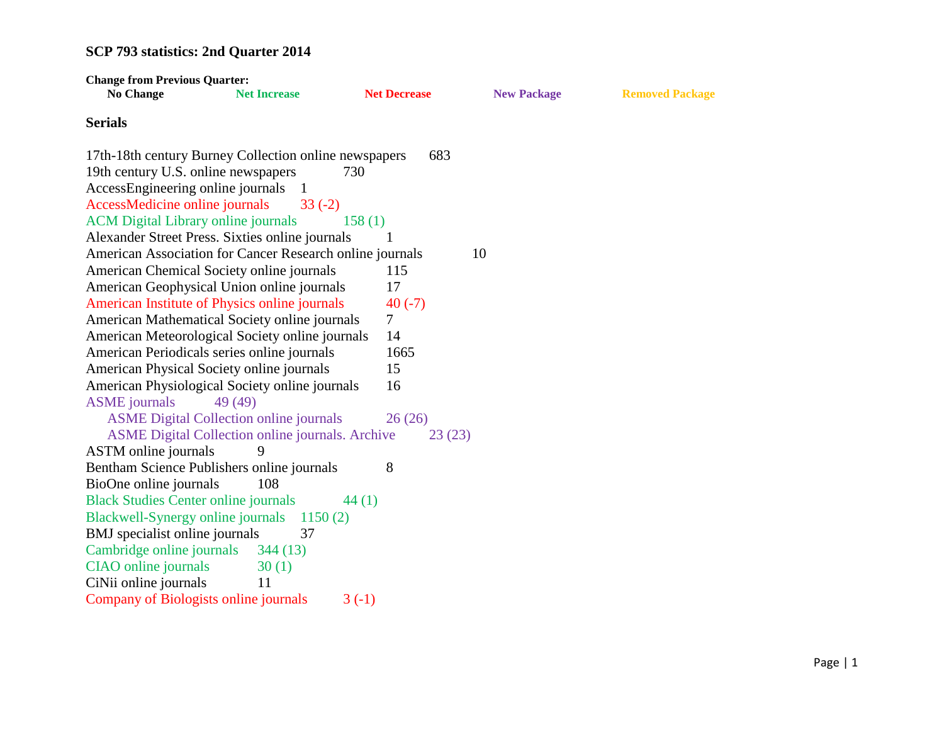| <b>Change from Previous Quarter:</b>        |                                                          |                     |                    |                        |
|---------------------------------------------|----------------------------------------------------------|---------------------|--------------------|------------------------|
| <b>No Change</b>                            | <b>Net Increase</b>                                      | <b>Net Decrease</b> | <b>New Package</b> | <b>Removed Package</b> |
| <b>Serials</b>                              |                                                          |                     |                    |                        |
|                                             | 17th-18th century Burney Collection online newspapers    | 683                 |                    |                        |
| 19th century U.S. online newspapers         |                                                          | 730                 |                    |                        |
| AccessEngineering online journals           |                                                          |                     |                    |                        |
| AccessMedicine online journals              | $33(-2)$                                                 |                     |                    |                        |
| <b>ACM</b> Digital Library online journals  |                                                          | 158(1)              |                    |                        |
|                                             | Alexander Street Press. Sixties online journals          | 1                   |                    |                        |
|                                             | American Association for Cancer Research online journals |                     | 10                 |                        |
|                                             | American Chemical Society online journals                | 115                 |                    |                        |
|                                             | American Geophysical Union online journals               | 17                  |                    |                        |
|                                             | American Institute of Physics online journals            | $40(-7)$            |                    |                        |
|                                             | American Mathematical Society online journals            | $\overline{7}$      |                    |                        |
|                                             | American Meteorological Society online journals          | 14                  |                    |                        |
|                                             | American Periodicals series online journals              | 1665                |                    |                        |
|                                             | American Physical Society online journals                | 15                  |                    |                        |
|                                             | American Physiological Society online journals           | 16                  |                    |                        |
| <b>ASME</b> journals                        | 49 (49)                                                  |                     |                    |                        |
|                                             | <b>ASME Digital Collection online journals</b>           | 26(26)              |                    |                        |
|                                             | ASME Digital Collection online journals. Archive         | 23(23)              |                    |                        |
| ASTM online journals                        | 9                                                        |                     |                    |                        |
|                                             | Bentham Science Publishers online journals               | 8                   |                    |                        |
| BioOne online journals                      | 108                                                      |                     |                    |                        |
| <b>Black Studies Center online journals</b> |                                                          | 44(1)               |                    |                        |
|                                             | Blackwell-Synergy online journals 1150 (2)               |                     |                    |                        |
| BMJ specialist online journals              | 37                                                       |                     |                    |                        |
| Cambridge online journals                   | 344(13)                                                  |                     |                    |                        |
| CIAO online journals                        | 30(1)                                                    |                     |                    |                        |
| CiNii online journals                       | 11                                                       |                     |                    |                        |
| Company of Biologists online journals       |                                                          | $3(-1)$             |                    |                        |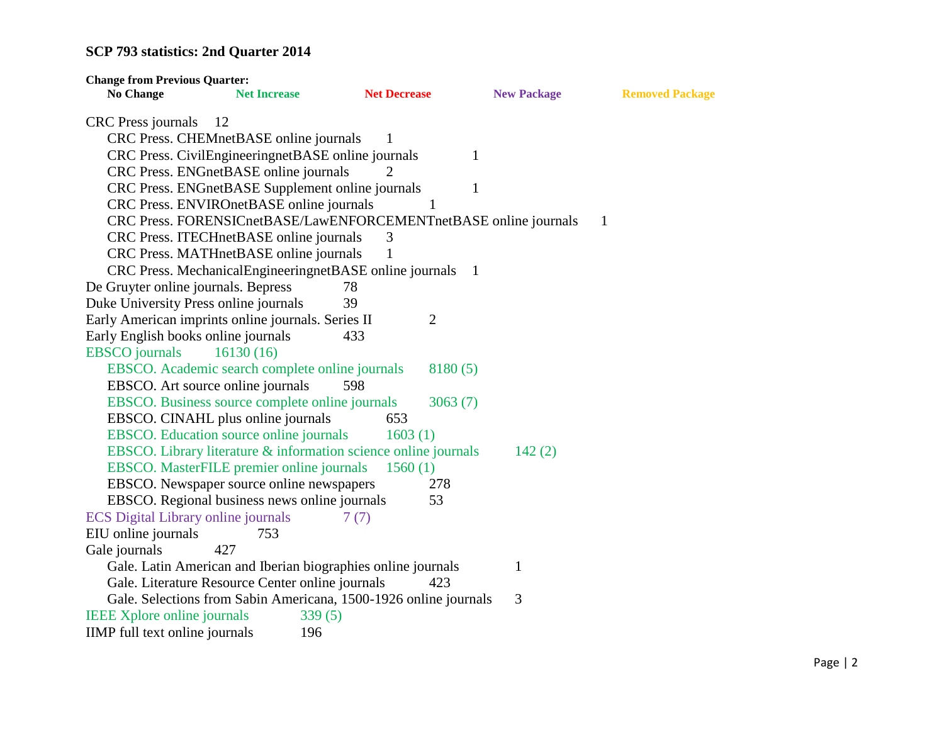| <b>Change from Previous Quarter:</b>                             |                     |                     |                    |                        |
|------------------------------------------------------------------|---------------------|---------------------|--------------------|------------------------|
| <b>No Change</b>                                                 | <b>Net Increase</b> | <b>Net Decrease</b> | <b>New Package</b> | <b>Removed Package</b> |
| <b>CRC</b> Press journals<br>12                                  |                     |                     |                    |                        |
| CRC Press. CHEMnetBASE online journals                           |                     | 1                   |                    |                        |
| CRC Press. CivilEngineeringnetBASE online journals               |                     |                     | 1                  |                        |
| CRC Press. ENGnetBASE online journals                            |                     |                     |                    |                        |
| CRC Press. ENGnetBASE Supplement online journals                 |                     |                     | 1                  |                        |
| CRC Press. ENVIROnetBASE online journals                         |                     |                     |                    |                        |
| CRC Press. FORENSICnetBASE/LawENFORCEMENTnetBASE online journals |                     |                     |                    | 1                      |
| CRC Press. ITECHnetBASE online journals                          |                     | 3                   |                    |                        |
| CRC Press. MATHnetBASE online journals                           |                     | 1                   |                    |                        |
| CRC Press. MechanicalEngineeringnetBASE online journals 1        |                     |                     |                    |                        |
| De Gruyter online journals. Bepress                              |                     | 78                  |                    |                        |
| Duke University Press online journals                            |                     | 39                  |                    |                        |
| Early American imprints online journals. Series II               |                     | $\overline{2}$      |                    |                        |
| Early English books online journals                              |                     | 433                 |                    |                        |
| <b>EBSCO</b> journals                                            | 16130(16)           |                     |                    |                        |
| EBSCO. Academic search complete online journals                  |                     | 8180(5)             |                    |                        |
| EBSCO. Art source online journals                                |                     | 598                 |                    |                        |
| EBSCO. Business source complete online journals                  |                     | 3063(7)             |                    |                        |
| EBSCO. CINAHL plus online journals                               |                     | 653                 |                    |                        |
| EBSCO. Education source online journals                          |                     | 1603(1)             |                    |                        |
| EBSCO. Library literature & information science online journals  |                     |                     | 142(2)             |                        |
| EBSCO. MasterFILE premier online journals                        |                     | 1560(1)             |                    |                        |
| EBSCO. Newspaper source online newspapers                        |                     | 278                 |                    |                        |
| EBSCO. Regional business news online journals                    |                     | 53                  |                    |                        |
| <b>ECS</b> Digital Library online journals                       |                     | 7(7)                |                    |                        |
| EIU online journals                                              | 753                 |                     |                    |                        |
| Gale journals<br>427                                             |                     |                     |                    |                        |
| Gale. Latin American and Iberian biographies online journals     |                     |                     | 1                  |                        |
| Gale. Literature Resource Center online journals                 |                     | 423                 |                    |                        |
| Gale. Selections from Sabin Americana, 1500-1926 online journals |                     |                     | 3                  |                        |
| <b>IEEE Xplore online journals</b>                               | 339(5)              |                     |                    |                        |
| IIMP full text online journals                                   | 196                 |                     |                    |                        |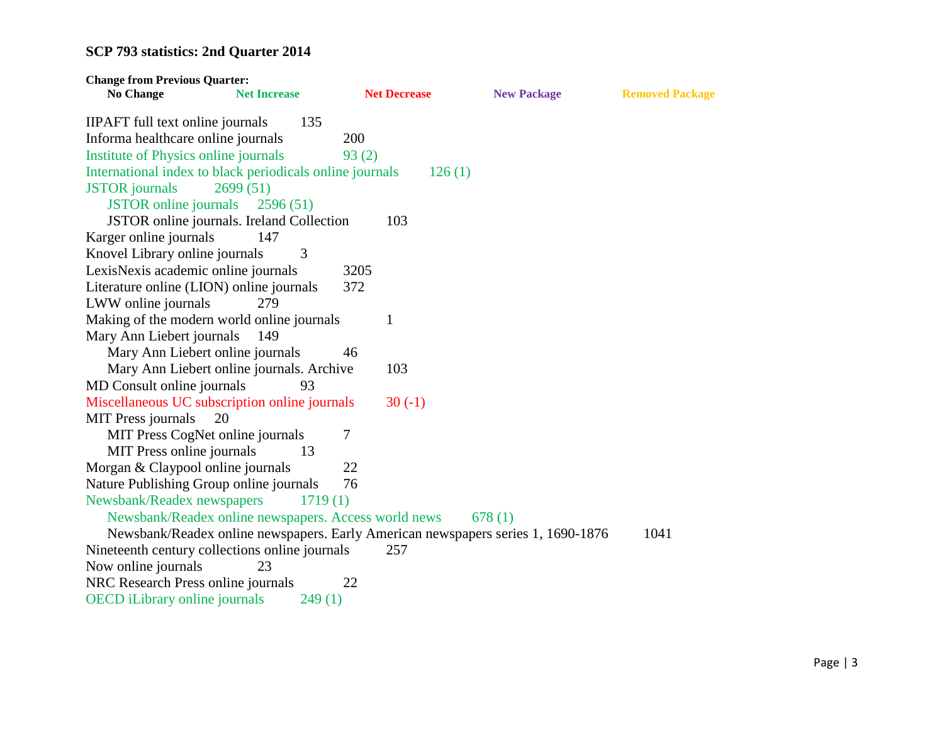| <b>Change from Previous Quarter:</b>                                  |                     |                     |                                                                                  |                        |
|-----------------------------------------------------------------------|---------------------|---------------------|----------------------------------------------------------------------------------|------------------------|
| <b>No Change</b>                                                      | <b>Net Increase</b> | <b>Net Decrease</b> | <b>New Package</b>                                                               | <b>Removed Package</b> |
| <b>IIPAFT</b> full text online journals                               | 135                 |                     |                                                                                  |                        |
| Informa healthcare online journals                                    |                     | 200                 |                                                                                  |                        |
| Institute of Physics online journals                                  |                     | 93(2)               |                                                                                  |                        |
| International index to black periodicals online journals              |                     | 126(1)              |                                                                                  |                        |
| <b>JSTOR</b> journals                                                 | 2699(51)            |                     |                                                                                  |                        |
| <b>JSTOR</b> online journals                                          | 2596(51)            |                     |                                                                                  |                        |
| JSTOR online journals. Ireland Collection                             |                     | 103                 |                                                                                  |                        |
| Karger online journals                                                | 147                 |                     |                                                                                  |                        |
| Knovel Library online journals                                        | 3                   |                     |                                                                                  |                        |
| LexisNexis academic online journals                                   |                     | 3205                |                                                                                  |                        |
| Literature online (LION) online journals                              |                     | 372                 |                                                                                  |                        |
| LWW online journals                                                   | 279                 |                     |                                                                                  |                        |
| Making of the modern world online journals                            |                     | 1                   |                                                                                  |                        |
| Mary Ann Liebert journals                                             | 149                 |                     |                                                                                  |                        |
| Mary Ann Liebert online journals                                      |                     | 46                  |                                                                                  |                        |
| Mary Ann Liebert online journals. Archive                             |                     | 103                 |                                                                                  |                        |
| MD Consult online journals                                            | 93                  |                     |                                                                                  |                        |
| Miscellaneous UC subscription online journals                         |                     | $30(-1)$            |                                                                                  |                        |
| <b>MIT Press journals</b><br>20                                       |                     |                     |                                                                                  |                        |
| MIT Press CogNet online journals                                      |                     | 7                   |                                                                                  |                        |
| MIT Press online journals                                             | 13                  |                     |                                                                                  |                        |
| Morgan & Claypool online journals                                     |                     | 22<br>76            |                                                                                  |                        |
| Nature Publishing Group online journals<br>Newsbank/Readex newspapers | 1719(1)             |                     |                                                                                  |                        |
| Newsbank/Readex online newspapers. Access world news                  |                     |                     | 678(1)                                                                           |                        |
|                                                                       |                     |                     | Newsbank/Readex online newspapers. Early American newspapers series 1, 1690-1876 | 1041                   |
| Nineteenth century collections online journals                        |                     | 257                 |                                                                                  |                        |
| Now online journals                                                   | 23                  |                     |                                                                                  |                        |
| NRC Research Press online journals                                    |                     | 22                  |                                                                                  |                        |
| <b>OECD</b> iLibrary online journals                                  | 249(1)              |                     |                                                                                  |                        |
|                                                                       |                     |                     |                                                                                  |                        |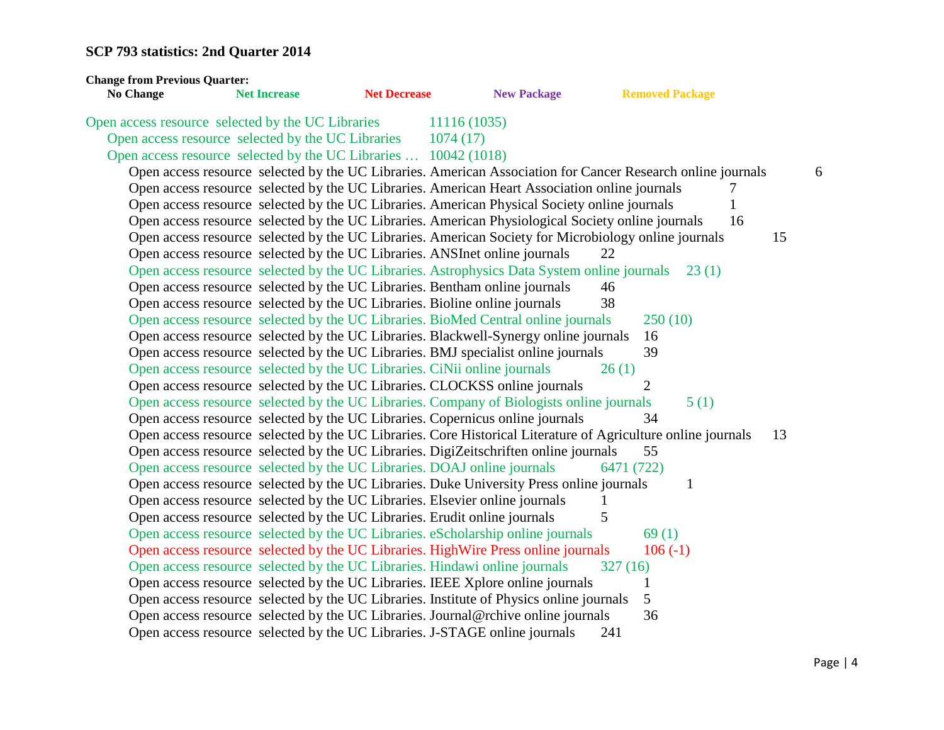| <b>Change from Previous Quarter:</b><br><b>No Change</b> | <b>Net Increase</b>                                                         | <b>Net Decrease</b> | <b>New Package</b>                                                                                           | <b>Removed Package</b>                                                                                      |   |
|----------------------------------------------------------|-----------------------------------------------------------------------------|---------------------|--------------------------------------------------------------------------------------------------------------|-------------------------------------------------------------------------------------------------------------|---|
| Open access resource selected by the UC Libraries        |                                                                             |                     | 11116 (1035)                                                                                                 |                                                                                                             |   |
|                                                          | Open access resource selected by the UC Libraries                           |                     | 1074(17)                                                                                                     |                                                                                                             |   |
|                                                          | Open access resource selected by the UC Libraries  10042 (1018)             |                     |                                                                                                              |                                                                                                             |   |
|                                                          |                                                                             |                     |                                                                                                              | Open access resource selected by the UC Libraries. American Association for Cancer Research online journals | 6 |
|                                                          |                                                                             |                     | Open access resource selected by the UC Libraries. American Heart Association online journals                | 7                                                                                                           |   |
|                                                          |                                                                             |                     | Open access resource selected by the UC Libraries. American Physical Society online journals                 |                                                                                                             |   |
|                                                          |                                                                             |                     | Open access resource selected by the UC Libraries. American Physiological Society online journals            | 16                                                                                                          |   |
|                                                          |                                                                             |                     | Open access resource selected by the UC Libraries. American Society for Microbiology online journals         | 15                                                                                                          |   |
|                                                          | Open access resource selected by the UC Libraries. ANSInet online journals  |                     |                                                                                                              | 22                                                                                                          |   |
|                                                          |                                                                             |                     | Open access resource selected by the UC Libraries. Astrophysics Data System online journals 23 (1)           |                                                                                                             |   |
|                                                          | Open access resource selected by the UC Libraries. Bentham online journals  |                     |                                                                                                              | 46                                                                                                          |   |
|                                                          | Open access resource selected by the UC Libraries. Bioline online journals  |                     |                                                                                                              | 38                                                                                                          |   |
|                                                          |                                                                             |                     | Open access resource selected by the UC Libraries. BioMed Central online journals                            | 250(10)                                                                                                     |   |
|                                                          |                                                                             |                     | Open access resource selected by the UC Libraries. Blackwell-Synergy online journals                         | 16                                                                                                          |   |
|                                                          |                                                                             |                     | Open access resource selected by the UC Libraries. BMJ specialist online journals                            | 39                                                                                                          |   |
|                                                          | Open access resource selected by the UC Libraries. CiNii online journals    |                     |                                                                                                              | 26(1)                                                                                                       |   |
|                                                          |                                                                             |                     | Open access resource selected by the UC Libraries. CLOCKSS online journals                                   | 2                                                                                                           |   |
|                                                          |                                                                             |                     | Open access resource selected by the UC Libraries. Company of Biologists online journals                     | 5(1)                                                                                                        |   |
|                                                          |                                                                             |                     | Open access resource selected by the UC Libraries. Copernicus online journals                                | 34                                                                                                          |   |
|                                                          |                                                                             |                     | Open access resource selected by the UC Libraries. Core Historical Literature of Agriculture online journals | 13                                                                                                          |   |
|                                                          |                                                                             |                     | Open access resource selected by the UC Libraries. DigiZeitschriften online journals                         | 55                                                                                                          |   |
|                                                          | Open access resource selected by the UC Libraries. DOAJ online journals     |                     |                                                                                                              | 6471 (722)                                                                                                  |   |
|                                                          |                                                                             |                     | Open access resource selected by the UC Libraries. Duke University Press online journals                     | 1                                                                                                           |   |
|                                                          | Open access resource selected by the UC Libraries. Elsevier online journals |                     |                                                                                                              |                                                                                                             |   |
|                                                          | Open access resource selected by the UC Libraries. Erudit online journals   |                     |                                                                                                              | 5                                                                                                           |   |
|                                                          |                                                                             |                     | Open access resource selected by the UC Libraries. eScholarship online journals                              | 69(1)                                                                                                       |   |
|                                                          |                                                                             |                     | Open access resource selected by the UC Libraries. HighWire Press online journals                            | $106(-1)$                                                                                                   |   |
|                                                          | Open access resource selected by the UC Libraries. Hindawi online journals  |                     |                                                                                                              | 327(16)                                                                                                     |   |
|                                                          |                                                                             |                     | Open access resource selected by the UC Libraries. IEEE Xplore online journals                               | 1                                                                                                           |   |
|                                                          |                                                                             |                     | Open access resource selected by the UC Libraries. Institute of Physics online journals                      | 5                                                                                                           |   |
|                                                          |                                                                             |                     | Open access resource selected by the UC Libraries. Journal@rchive online journals                            | 36                                                                                                          |   |
|                                                          |                                                                             |                     | Open access resource selected by the UC Libraries. J-STAGE online journals                                   | 241                                                                                                         |   |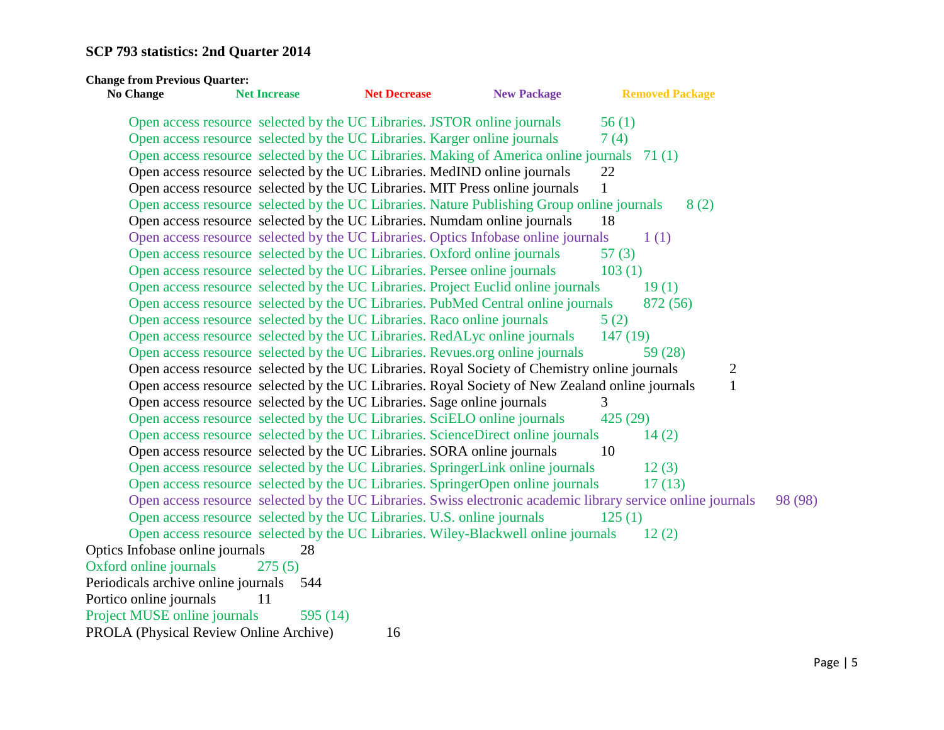| <b>Change from Previous Quarter:</b><br><b>No Change</b>                | <b>Net Increase</b> | <b>Net Decrease</b> | <b>New Package</b>                                                                                           | <b>Removed Package</b> |  |
|-------------------------------------------------------------------------|---------------------|---------------------|--------------------------------------------------------------------------------------------------------------|------------------------|--|
|                                                                         |                     |                     | Open access resource selected by the UC Libraries. JSTOR online journals                                     | 56(1)                  |  |
|                                                                         |                     |                     | Open access resource selected by the UC Libraries. Karger online journals                                    | 7(4)                   |  |
|                                                                         |                     |                     | Open access resource selected by the UC Libraries. Making of America online journals 71(1)                   |                        |  |
|                                                                         |                     |                     | Open access resource selected by the UC Libraries. MedIND online journals                                    | 22                     |  |
|                                                                         |                     |                     | Open access resource selected by the UC Libraries. MIT Press online journals                                 | 1                      |  |
|                                                                         |                     |                     | Open access resource selected by the UC Libraries. Nature Publishing Group online journals                   | 8(2)                   |  |
|                                                                         |                     |                     | Open access resource selected by the UC Libraries. Numdam online journals                                    | 18                     |  |
|                                                                         |                     |                     | Open access resource selected by the UC Libraries. Optics Infobase online journals                           | 1(1)                   |  |
|                                                                         |                     |                     | Open access resource selected by the UC Libraries. Oxford online journals                                    | 57(3)                  |  |
|                                                                         |                     |                     | Open access resource selected by the UC Libraries. Persee online journals                                    | 103(1)                 |  |
|                                                                         |                     |                     | Open access resource selected by the UC Libraries. Project Euclid online journals                            | 19(1)                  |  |
|                                                                         |                     |                     | Open access resource selected by the UC Libraries. PubMed Central online journals                            | 872 (56)               |  |
| Open access resource selected by the UC Libraries. Raco online journals |                     |                     |                                                                                                              | 5(2)                   |  |
|                                                                         |                     |                     | Open access resource selected by the UC Libraries. RedALyc online journals                                   | 147(19)                |  |
|                                                                         |                     |                     | Open access resource selected by the UC Libraries. Revues.org online journals                                | 59 (28)                |  |
|                                                                         |                     |                     | Open access resource selected by the UC Libraries. Royal Society of Chemistry online journals                | $\overline{c}$         |  |
|                                                                         |                     |                     | Open access resource selected by the UC Libraries. Royal Society of New Zealand online journals              | $\mathbf{1}$           |  |
| Open access resource selected by the UC Libraries. Sage online journals |                     |                     |                                                                                                              | 3                      |  |
|                                                                         |                     |                     | Open access resource selected by the UC Libraries. SciELO online journals                                    | 425 (29)               |  |
|                                                                         |                     |                     | Open access resource selected by the UC Libraries. ScienceDirect online journals                             | 14(2)                  |  |
|                                                                         |                     |                     | Open access resource selected by the UC Libraries. SORA online journals                                      | 10                     |  |
|                                                                         |                     |                     | Open access resource selected by the UC Libraries. SpringerLink online journals                              | 12(3)                  |  |
|                                                                         |                     |                     | Open access resource selected by the UC Libraries. SpringerOpen online journals                              | 17(13)                 |  |
|                                                                         |                     |                     | Open access resource selected by the UC Libraries. Swiss electronic academic library service online journals | 98 (98)                |  |
| Open access resource selected by the UC Libraries. U.S. online journals |                     |                     |                                                                                                              | 125(1)                 |  |
|                                                                         |                     |                     | Open access resource selected by the UC Libraries. Wiley-Blackwell online journals                           | 12(2)                  |  |
| Optics Infobase online journals                                         | 28                  |                     |                                                                                                              |                        |  |
| Oxford online journals                                                  | 275(5)              |                     |                                                                                                              |                        |  |
| Periodicals archive online journals 544                                 |                     |                     |                                                                                                              |                        |  |
| Portico online journals                                                 | 11                  |                     |                                                                                                              |                        |  |
| Project MUSE online journals                                            | 595 $(14)$          |                     |                                                                                                              |                        |  |
| PROLA (Physical Review Online Archive)                                  |                     | 16                  |                                                                                                              |                        |  |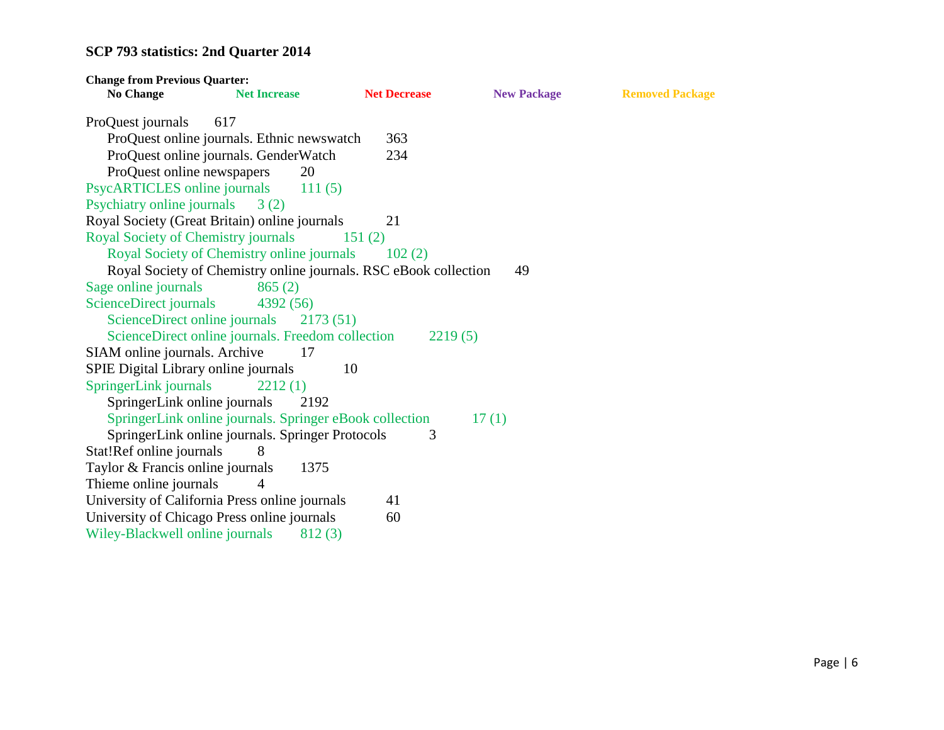| <b>Change from Previous Quarter:</b>       |                                                                  |                     |                    |                        |
|--------------------------------------------|------------------------------------------------------------------|---------------------|--------------------|------------------------|
| <b>No Change</b>                           | <b>Net Increase</b>                                              | <b>Net Decrease</b> | <b>New Package</b> | <b>Removed Package</b> |
| ProQuest journals                          | 617                                                              |                     |                    |                        |
|                                            | ProQuest online journals. Ethnic newswatch                       | 363                 |                    |                        |
|                                            | ProQuest online journals. GenderWatch                            | 234                 |                    |                        |
| ProQuest online newspapers                 | 20                                                               |                     |                    |                        |
| PsycARTICLES online journals               | 111(5)                                                           |                     |                    |                        |
| Psychiatry online journals $3(2)$          |                                                                  |                     |                    |                        |
|                                            | Royal Society (Great Britain) online journals                    | 21                  |                    |                        |
| <b>Royal Society of Chemistry journals</b> |                                                                  | 151(2)              |                    |                        |
|                                            | Royal Society of Chemistry online journals 102 (2)               |                     |                    |                        |
|                                            | Royal Society of Chemistry online journals. RSC eBook collection |                     | 49                 |                        |
| Sage online journals                       | 865(2)                                                           |                     |                    |                        |
| ScienceDirect journals                     | 4392 (56)                                                        |                     |                    |                        |
| ScienceDirect online journals              | 2173(51)                                                         |                     |                    |                        |
|                                            | ScienceDirect online journals. Freedom collection                | 2219(5)             |                    |                        |
| SIAM online journals. Archive              | 17                                                               |                     |                    |                        |
| SPIE Digital Library online journals       | 10                                                               |                     |                    |                        |
| SpringerLink journals                      | 2212(1)                                                          |                     |                    |                        |
| SpringerLink online journals               | 2192                                                             |                     |                    |                        |
|                                            | SpringerLink online journals. Springer eBook collection          |                     | 17(1)              |                        |
|                                            | SpringerLink online journals. Springer Protocols                 | 3                   |                    |                        |
| Stat!Ref online journals                   | 8                                                                |                     |                    |                        |
| Taylor & Francis online journals           | 1375                                                             |                     |                    |                        |
| Thieme online journals                     | $\overline{4}$                                                   |                     |                    |                        |
|                                            | University of California Press online journals                   | 41                  |                    |                        |
|                                            | University of Chicago Press online journals                      | 60                  |                    |                        |
| Wiley-Blackwell online journals            | 812(3)                                                           |                     |                    |                        |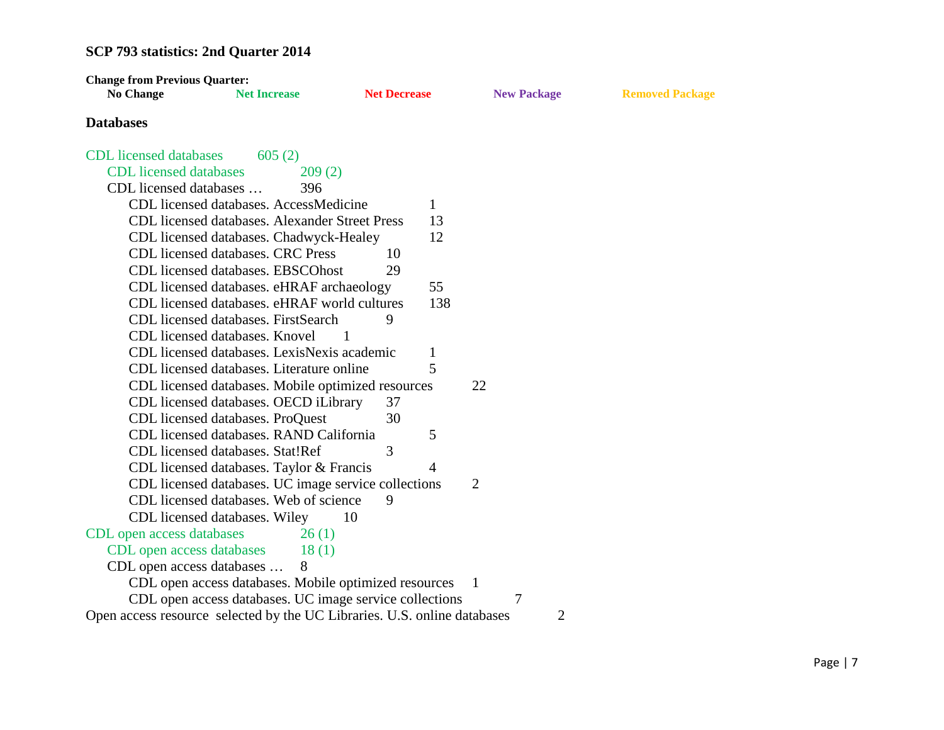| <b>Change from Previous Quarter:</b>                                     |                                                         |                     |                |                    |                        |
|--------------------------------------------------------------------------|---------------------------------------------------------|---------------------|----------------|--------------------|------------------------|
| <b>No Change</b>                                                         | <b>Net Increase</b>                                     | <b>Net Decrease</b> |                | <b>New Package</b> | <b>Removed Package</b> |
| <b>Databases</b>                                                         |                                                         |                     |                |                    |                        |
| <b>CDL</b> licensed databases                                            | 605(2)                                                  |                     |                |                    |                        |
| <b>CDL</b> licensed databases                                            | 209(2)                                                  |                     |                |                    |                        |
| CDL licensed databases                                                   | 396                                                     |                     |                |                    |                        |
|                                                                          | CDL licensed databases. AccessMedicine                  |                     | 1              |                    |                        |
|                                                                          | CDL licensed databases. Alexander Street Press          |                     | 13             |                    |                        |
|                                                                          | CDL licensed databases. Chadwyck-Healey                 |                     | 12             |                    |                        |
|                                                                          | CDL licensed databases. CRC Press                       | 10                  |                |                    |                        |
|                                                                          | CDL licensed databases. EBSCOhost                       | 29                  |                |                    |                        |
|                                                                          | CDL licensed databases. eHRAF archaeology               |                     | 55             |                    |                        |
|                                                                          | CDL licensed databases. eHRAF world cultures            |                     | 138            |                    |                        |
|                                                                          | CDL licensed databases. FirstSearch                     | 9                   |                |                    |                        |
|                                                                          | CDL licensed databases. Knovel                          | 1                   |                |                    |                        |
|                                                                          | CDL licensed databases. LexisNexis academic             |                     | 1              |                    |                        |
|                                                                          | CDL licensed databases. Literature online               |                     | 5              |                    |                        |
|                                                                          | CDL licensed databases. Mobile optimized resources      |                     |                | 22                 |                        |
|                                                                          | CDL licensed databases. OECD iLibrary                   | 37                  |                |                    |                        |
|                                                                          | CDL licensed databases. ProQuest                        | 30                  |                |                    |                        |
|                                                                          | CDL licensed databases. RAND California                 |                     | 5              |                    |                        |
|                                                                          | CDL licensed databases. Stat!Ref                        | 3                   |                |                    |                        |
|                                                                          | CDL licensed databases. Taylor & Francis                |                     | $\overline{4}$ |                    |                        |
|                                                                          | CDL licensed databases. UC image service collections    |                     |                | $\overline{2}$     |                        |
|                                                                          | CDL licensed databases. Web of science                  | 9                   |                |                    |                        |
|                                                                          | CDL licensed databases. Wiley                           | 10                  |                |                    |                        |
| CDL open access databases                                                | 26(1)                                                   |                     |                |                    |                        |
| CDL open access databases                                                | 18(1)                                                   |                     |                |                    |                        |
| CDL open access databases                                                | 8                                                       |                     |                |                    |                        |
|                                                                          | CDL open access databases. Mobile optimized resources   |                     |                | $\mathbf{1}$       |                        |
|                                                                          | CDL open access databases. UC image service collections |                     |                | 7                  |                        |
| Open access resource selected by the UC Libraries. U.S. online databases |                                                         |                     |                | 2                  |                        |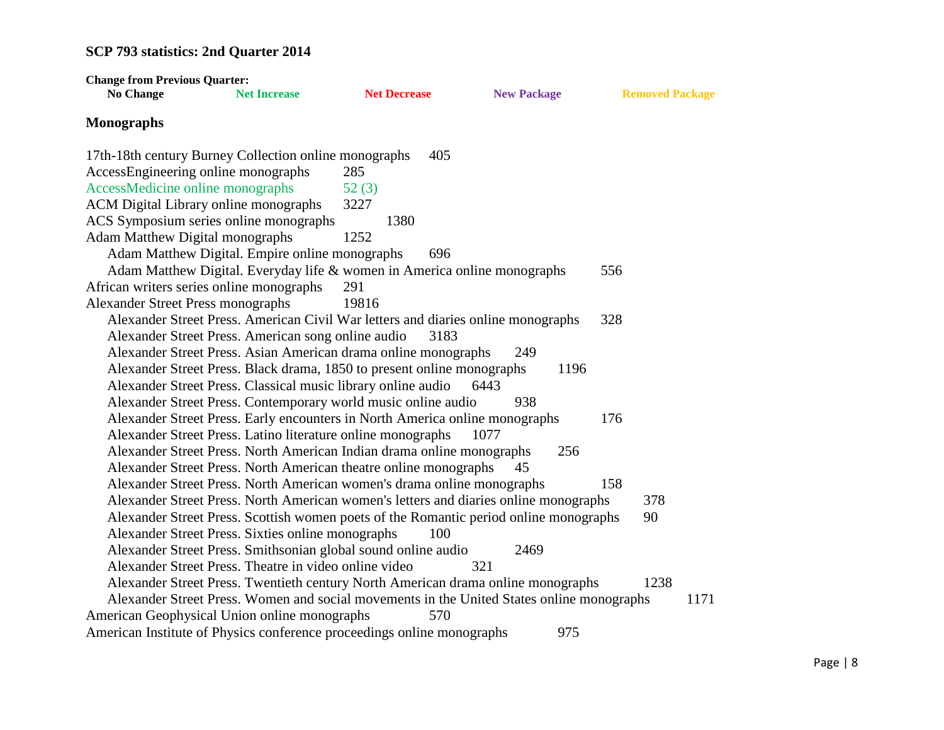| <b>Change from Previous Quarter:</b>                                                      |                     |                     |      |                    |                        |      |
|-------------------------------------------------------------------------------------------|---------------------|---------------------|------|--------------------|------------------------|------|
| <b>No Change</b>                                                                          | <b>Net Increase</b> | <b>Net Decrease</b> |      | <b>New Package</b> | <b>Removed Package</b> |      |
| <b>Monographs</b>                                                                         |                     |                     |      |                    |                        |      |
| 17th-18th century Burney Collection online monographs                                     |                     |                     | 405  |                    |                        |      |
| AccessEngineering online monographs                                                       |                     | 285                 |      |                    |                        |      |
| AccessMedicine online monographs                                                          |                     | 52(3)               |      |                    |                        |      |
| ACM Digital Library online monographs                                                     |                     | 3227                |      |                    |                        |      |
| ACS Symposium series online monographs                                                    |                     | 1380                |      |                    |                        |      |
| <b>Adam Matthew Digital monographs</b>                                                    |                     | 1252                |      |                    |                        |      |
| Adam Matthew Digital. Empire online monographs                                            |                     |                     | 696  |                    |                        |      |
| Adam Matthew Digital. Everyday life & women in America online monographs                  |                     |                     |      |                    | 556                    |      |
| African writers series online monographs                                                  |                     | 291                 |      |                    |                        |      |
| <b>Alexander Street Press monographs</b>                                                  |                     | 19816               |      |                    |                        |      |
| Alexander Street Press. American Civil War letters and diaries online monographs          |                     |                     |      |                    | 328                    |      |
| Alexander Street Press. American song online audio                                        |                     |                     | 3183 |                    |                        |      |
| Alexander Street Press. Asian American drama online monographs                            |                     |                     | 249  |                    |                        |      |
| Alexander Street Press. Black drama, 1850 to present online monographs                    |                     |                     |      | 1196               |                        |      |
| Alexander Street Press. Classical music library online audio                              |                     |                     | 6443 |                    |                        |      |
| Alexander Street Press. Contemporary world music online audio                             |                     |                     | 938  |                    |                        |      |
| Alexander Street Press. Early encounters in North America online monographs               |                     |                     |      |                    | 176                    |      |
| Alexander Street Press. Latino literature online monographs                               |                     |                     | 1077 |                    |                        |      |
| Alexander Street Press. North American Indian drama online monographs                     |                     |                     |      | 256                |                        |      |
| Alexander Street Press. North American theatre online monographs                          |                     |                     | 45   |                    |                        |      |
| Alexander Street Press. North American women's drama online monographs                    |                     |                     |      |                    | 158                    |      |
| Alexander Street Press. North American women's letters and diaries online monographs      |                     |                     |      |                    | 378                    |      |
| Alexander Street Press. Scottish women poets of the Romantic period online monographs     |                     |                     |      |                    | 90                     |      |
| Alexander Street Press. Sixties online monographs                                         |                     |                     | 100  |                    |                        |      |
| Alexander Street Press. Smithsonian global sound online audio                             |                     |                     |      | 2469               |                        |      |
| Alexander Street Press. Theatre in video online video                                     |                     |                     | 321  |                    |                        |      |
| Alexander Street Press. Twentieth century North American drama online monographs          |                     |                     |      |                    | 1238                   |      |
| Alexander Street Press. Women and social movements in the United States online monographs |                     |                     |      |                    |                        | 1171 |
| American Geophysical Union online monographs                                              |                     |                     | 570  |                    |                        |      |
| American Institute of Physics conference proceedings online monographs                    |                     |                     |      | 975                |                        |      |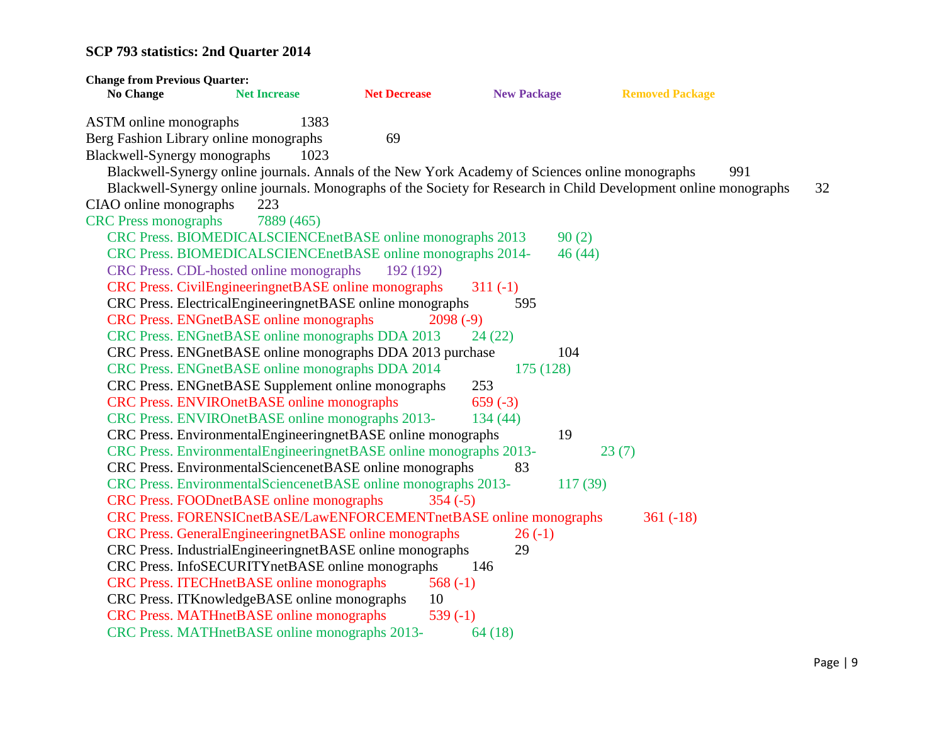| <b>Change from Previous Quarter:</b> |                                                                                                 |                     |                    |                                                                                                                  |    |
|--------------------------------------|-------------------------------------------------------------------------------------------------|---------------------|--------------------|------------------------------------------------------------------------------------------------------------------|----|
| <b>No Change</b>                     | <b>Net Increase</b>                                                                             | <b>Net Decrease</b> | <b>New Package</b> | <b>Removed Package</b>                                                                                           |    |
| <b>ASTM</b> online monographs        | 1383                                                                                            |                     |                    |                                                                                                                  |    |
|                                      | Berg Fashion Library online monographs                                                          | 69                  |                    |                                                                                                                  |    |
| Blackwell-Synergy monographs         | 1023                                                                                            |                     |                    |                                                                                                                  |    |
|                                      | Blackwell-Synergy online journals. Annals of the New York Academy of Sciences online monographs |                     |                    | 991                                                                                                              |    |
|                                      |                                                                                                 |                     |                    | Blackwell-Synergy online journals. Monographs of the Society for Research in Child Development online monographs | 32 |
| CIAO online monographs               | 223                                                                                             |                     |                    |                                                                                                                  |    |
| <b>CRC</b> Press monographs          | 7889 (465)                                                                                      |                     |                    |                                                                                                                  |    |
|                                      | CRC Press. BIOMEDICALSCIENCEnetBASE online monographs 2013                                      |                     |                    | 90(2)                                                                                                            |    |
|                                      | CRC Press. BIOMEDICALSCIENCEnetBASE online monographs 2014-                                     |                     |                    | 46(44)                                                                                                           |    |
|                                      | CRC Press. CDL-hosted online monographs                                                         | 192 (192)           |                    |                                                                                                                  |    |
|                                      | CRC Press. CivilEngineeringnetBASE online monographs                                            |                     | $311(-1)$          |                                                                                                                  |    |
|                                      | CRC Press. ElectricalEngineeringnetBASE online monographs                                       |                     | 595                |                                                                                                                  |    |
|                                      | <b>CRC Press. ENGnetBASE online monographs</b>                                                  | $2098(-9)$          |                    |                                                                                                                  |    |
|                                      | CRC Press. ENGnetBASE online monographs DDA 2013                                                |                     | 24(22)             |                                                                                                                  |    |
|                                      | CRC Press. ENGnetBASE online monographs DDA 2013 purchase                                       |                     | 104                |                                                                                                                  |    |
|                                      | CRC Press. ENGnetBASE online monographs DDA 2014                                                |                     | 175 (128)          |                                                                                                                  |    |
|                                      | CRC Press. ENGnetBASE Supplement online monographs                                              |                     | 253                |                                                                                                                  |    |
|                                      | <b>CRC Press. ENVIROnetBASE online monographs</b>                                               |                     | $659(-3)$          |                                                                                                                  |    |
|                                      | CRC Press. ENVIROnetBASE online monographs 2013-                                                |                     | 134 (44)           |                                                                                                                  |    |
|                                      | CRC Press. EnvironmentalEngineeringnetBASE online monographs                                    |                     | 19                 |                                                                                                                  |    |
|                                      | CRC Press. EnvironmentalEngineeringnetBASE online monographs 2013-                              |                     |                    | 23(7)                                                                                                            |    |
|                                      | CRC Press. EnvironmentalSciencenetBASE online monographs                                        |                     | 83                 |                                                                                                                  |    |
|                                      | CRC Press. EnvironmentalSciencenetBASE online monographs 2013-                                  |                     |                    | 117(39)                                                                                                          |    |
|                                      | <b>CRC Press. FOODnetBASE online monographs</b>                                                 | $354(-5)$           |                    |                                                                                                                  |    |
|                                      | CRC Press. FORENSICnetBASE/LawENFORCEMENTnetBASE online monographs                              |                     |                    | $361(-18)$                                                                                                       |    |
|                                      | CRC Press. GeneralEngineeringnetBASE online monographs                                          |                     | $26(-1)$           |                                                                                                                  |    |
|                                      | CRC Press. IndustrialEngineeringnetBASE online monographs                                       |                     | 29                 |                                                                                                                  |    |
|                                      | CRC Press. InfoSECURITYnetBASE online monographs                                                |                     | 146                |                                                                                                                  |    |
|                                      | <b>CRC Press. ITECHnetBASE online monographs</b>                                                | $568(-1)$           |                    |                                                                                                                  |    |
|                                      | CRC Press. ITKnowledgeBASE online monographs                                                    | 10                  |                    |                                                                                                                  |    |
|                                      | CRC Press. MATHnetBASE online monographs                                                        | 539 $(-1)$          |                    |                                                                                                                  |    |
|                                      | CRC Press. MATHnetBASE online monographs 2013-                                                  |                     | 64(18)             |                                                                                                                  |    |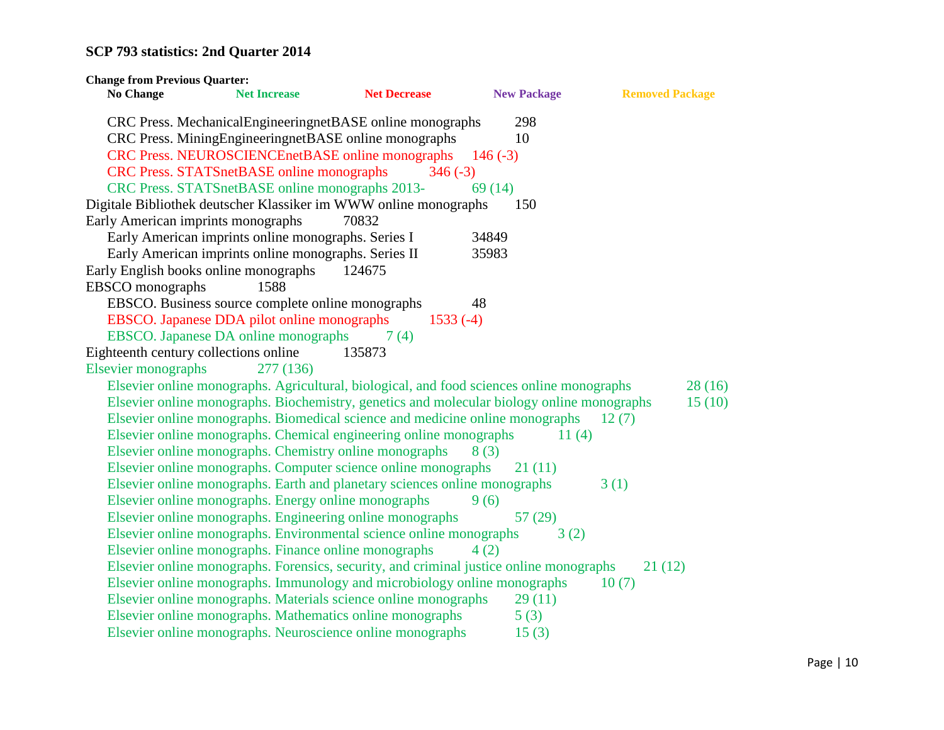| <b>Change from Previous Quarter:</b>                  |                     |                                                                                            |                    |                        |
|-------------------------------------------------------|---------------------|--------------------------------------------------------------------------------------------|--------------------|------------------------|
| <b>No Change</b>                                      | <b>Net Increase</b> | <b>Net Decrease</b>                                                                        | <b>New Package</b> | <b>Removed Package</b> |
|                                                       |                     | CRC Press. MechanicalEngineeringnetBASE online monographs                                  | 298                |                        |
|                                                       |                     | CRC Press. MiningEngineeringnetBASE online monographs                                      | 10                 |                        |
|                                                       |                     | CRC Press. NEUROSCIENCEnetBASE online monographs                                           | $146(-3)$          |                        |
| <b>CRC Press. STATSnetBASE online monographs</b>      |                     | $346(-3)$                                                                                  |                    |                        |
| CRC Press. STATSnetBASE online monographs 2013-       |                     |                                                                                            | 69(14)             |                        |
|                                                       |                     | Digitale Bibliothek deutscher Klassiker im WWW online monographs                           | 150                |                        |
| Early American imprints monographs                    |                     | 70832                                                                                      |                    |                        |
| Early American imprints online monographs. Series I   |                     |                                                                                            | 34849              |                        |
| Early American imprints online monographs. Series II  |                     |                                                                                            | 35983              |                        |
| Early English books online monographs                 |                     | 124675                                                                                     |                    |                        |
| <b>EBSCO</b> monographs                               | 1588                |                                                                                            |                    |                        |
| EBSCO. Business source complete online monographs     |                     |                                                                                            | 48                 |                        |
| EBSCO. Japanese DDA pilot online monographs           |                     | $1533(-4)$                                                                                 |                    |                        |
| EBSCO. Japanese DA online monographs                  |                     | 7(4)                                                                                       |                    |                        |
| Eighteenth century collections online                 |                     | 135873                                                                                     |                    |                        |
| <b>Elsevier monographs</b>                            | 277 (136)           |                                                                                            |                    |                        |
|                                                       |                     | Elsevier online monographs. Agricultural, biological, and food sciences online monographs  |                    | 28(16)                 |
|                                                       |                     | Elsevier online monographs. Biochemistry, genetics and molecular biology online monographs |                    | 15(10)                 |
|                                                       |                     | Elsevier online monographs. Biomedical science and medicine online monographs              |                    | 12(7)                  |
|                                                       |                     | Elsevier online monographs. Chemical engineering online monographs                         | 11(4)              |                        |
|                                                       |                     | Elsevier online monographs. Chemistry online monographs                                    | 8(3)               |                        |
|                                                       |                     | Elsevier online monographs. Computer science online monographs                             | 21(11)             |                        |
|                                                       |                     | Elsevier online monographs. Earth and planetary sciences online monographs                 |                    | 3(1)                   |
| Elsevier online monographs. Energy online monographs  |                     |                                                                                            | 9(6)               |                        |
|                                                       |                     | Elsevier online monographs. Engineering online monographs                                  | 57(29)             |                        |
|                                                       |                     | Elsevier online monographs. Environmental science online monographs                        | 3(2)               |                        |
| Elsevier online monographs. Finance online monographs |                     |                                                                                            | 4(2)               |                        |
|                                                       |                     | Elsevier online monographs. Forensics, security, and criminal justice online monographs    |                    | 21(12)                 |
|                                                       |                     | Elsevier online monographs. Immunology and microbiology online monographs                  |                    | 10(7)                  |
|                                                       |                     | Elsevier online monographs. Materials science online monographs                            | 29(11)             |                        |
|                                                       |                     | Elsevier online monographs. Mathematics online monographs                                  | 5(3)               |                        |
|                                                       |                     | Elsevier online monographs. Neuroscience online monographs                                 | 15(3)              |                        |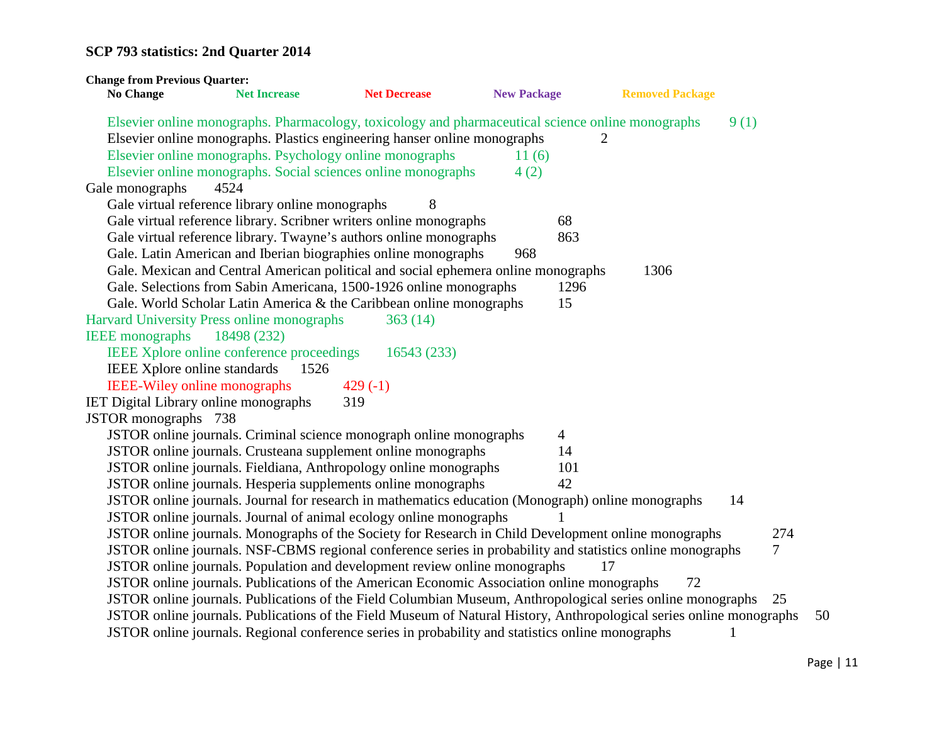| <b>Change from Previous Quarter:</b>         |                                                                                                                                                                                |                     |                    |      |                        |              |     |
|----------------------------------------------|--------------------------------------------------------------------------------------------------------------------------------------------------------------------------------|---------------------|--------------------|------|------------------------|--------------|-----|
| <b>No Change</b>                             | <b>Net Increase</b>                                                                                                                                                            | <b>Net Decrease</b> | <b>New Package</b> |      | <b>Removed Package</b> |              |     |
|                                              | Elsevier online monographs. Pharmacology, toxicology and pharmaceutical science online monographs<br>Elsevier online monographs. Plastics engineering hanser online monographs |                     |                    | 2    |                        | 9(1)         |     |
|                                              | Elsevier online monographs. Psychology online monographs                                                                                                                       |                     | 11(6)              |      |                        |              |     |
|                                              | Elsevier online monographs. Social sciences online monographs                                                                                                                  |                     | 4(2)               |      |                        |              |     |
| Gale monographs                              | 4524                                                                                                                                                                           |                     |                    |      |                        |              |     |
|                                              | Gale virtual reference library online monographs                                                                                                                               | 8                   |                    |      |                        |              |     |
|                                              | Gale virtual reference library. Scribner writers online monographs                                                                                                             |                     |                    | 68   |                        |              |     |
|                                              | Gale virtual reference library. Twayne's authors online monographs                                                                                                             |                     |                    | 863  |                        |              |     |
|                                              | Gale. Latin American and Iberian biographies online monographs                                                                                                                 |                     | 968                |      |                        |              |     |
|                                              | Gale. Mexican and Central American political and social ephemera online monographs                                                                                             |                     |                    |      | 1306                   |              |     |
|                                              | Gale. Selections from Sabin Americana, 1500-1926 online monographs                                                                                                             |                     |                    | 1296 |                        |              |     |
|                                              | Gale. World Scholar Latin America & the Caribbean online monographs                                                                                                            |                     |                    | 15   |                        |              |     |
|                                              | Harvard University Press online monographs                                                                                                                                     | 363(14)             |                    |      |                        |              |     |
| <b>IEEE</b> monographs                       | 18498 (232)                                                                                                                                                                    |                     |                    |      |                        |              |     |
|                                              | IEEE Xplore online conference proceedings                                                                                                                                      | 16543 (233)         |                    |      |                        |              |     |
| IEEE Xplore online standards                 | 1526                                                                                                                                                                           |                     |                    |      |                        |              |     |
| <b>IEEE-Wiley online monographs</b>          |                                                                                                                                                                                | $429(-1)$           |                    |      |                        |              |     |
| <b>IET Digital Library online monographs</b> |                                                                                                                                                                                | 319                 |                    |      |                        |              |     |
| JSTOR monographs 738                         |                                                                                                                                                                                |                     |                    |      |                        |              |     |
|                                              | JSTOR online journals. Criminal science monograph online monographs                                                                                                            |                     |                    | 4    |                        |              |     |
|                                              | JSTOR online journals. Crusteana supplement online monographs                                                                                                                  |                     |                    | 14   |                        |              |     |
|                                              | JSTOR online journals. Fieldiana, Anthropology online monographs                                                                                                               |                     |                    | 101  |                        |              |     |
|                                              | JSTOR online journals. Hesperia supplements online monographs                                                                                                                  |                     |                    | 42   |                        |              |     |
|                                              | JSTOR online journals. Journal for research in mathematics education (Monograph) online monographs                                                                             |                     |                    |      |                        | 14           |     |
|                                              | JSTOR online journals. Journal of animal ecology online monographs                                                                                                             |                     |                    |      |                        |              |     |
|                                              | JSTOR online journals. Monographs of the Society for Research in Child Development online monographs                                                                           |                     |                    |      |                        |              | 274 |
|                                              | JSTOR online journals. NSF-CBMS regional conference series in probability and statistics online monographs                                                                     |                     |                    |      |                        |              | 7   |
|                                              | JSTOR online journals. Population and development review online monographs                                                                                                     |                     |                    | 17   |                        |              |     |
|                                              | JSTOR online journals. Publications of the American Economic Association online monographs                                                                                     |                     |                    |      | 72                     |              |     |
|                                              | JSTOR online journals. Publications of the Field Columbian Museum, Anthropological series online monographs 25                                                                 |                     |                    |      |                        |              |     |
|                                              | JSTOR online journals. Publications of the Field Museum of Natural History, Anthropological series online monographs                                                           |                     |                    |      |                        |              | 50  |
|                                              | JSTOR online journals. Regional conference series in probability and statistics online monographs                                                                              |                     |                    |      |                        | $\mathbf{1}$ |     |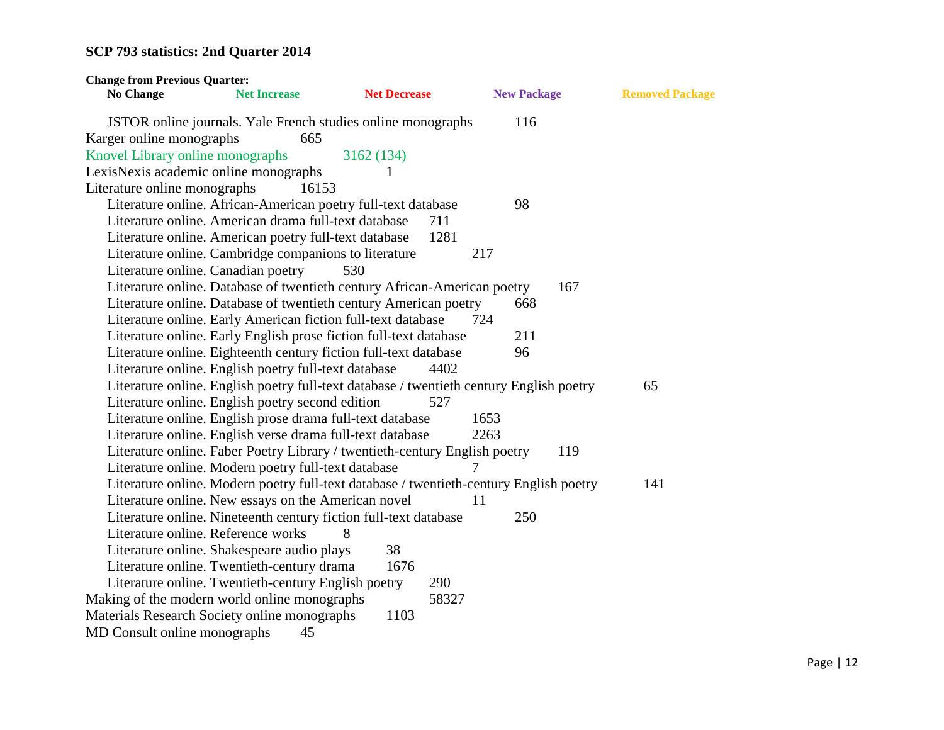| <b>Change from Previous Quarter:</b>  |                                                                            |                     |                                                                                         |                        |
|---------------------------------------|----------------------------------------------------------------------------|---------------------|-----------------------------------------------------------------------------------------|------------------------|
| <b>No Change</b>                      | <b>Net Increase</b>                                                        | <b>Net Decrease</b> | <b>New Package</b>                                                                      | <b>Removed Package</b> |
|                                       | JSTOR online journals. Yale French studies online monographs<br>665        |                     | 116                                                                                     |                        |
| Karger online monographs              |                                                                            |                     |                                                                                         |                        |
| Knovel Library online monographs      |                                                                            | 3162 (134)          |                                                                                         |                        |
| LexisNexis academic online monographs |                                                                            |                     |                                                                                         |                        |
| Literature online monographs          | 16153                                                                      |                     |                                                                                         |                        |
|                                       | Literature online. African-American poetry full-text database              |                     | 98                                                                                      |                        |
|                                       | Literature online. American drama full-text database                       | 711                 |                                                                                         |                        |
|                                       | Literature online. American poetry full-text database                      | 1281                |                                                                                         |                        |
|                                       | Literature online. Cambridge companions to literature                      |                     | 217                                                                                     |                        |
| Literature online. Canadian poetry    |                                                                            | 530                 |                                                                                         |                        |
|                                       | Literature online. Database of twentieth century African-American poetry   |                     | 167                                                                                     |                        |
|                                       | Literature online. Database of twentieth century American poetry           |                     | 668                                                                                     |                        |
|                                       | Literature online. Early American fiction full-text database               |                     | 724                                                                                     |                        |
|                                       | Literature online. Early English prose fiction full-text database          |                     | 211                                                                                     |                        |
|                                       | Literature online. Eighteenth century fiction full-text database           |                     | 96                                                                                      |                        |
|                                       | Literature online. English poetry full-text database                       | 4402                |                                                                                         |                        |
|                                       |                                                                            |                     | Literature online. English poetry full-text database / twentieth century English poetry | 65                     |
|                                       | Literature online. English poetry second edition                           | 527                 |                                                                                         |                        |
|                                       | Literature online. English prose drama full-text database                  |                     | 1653                                                                                    |                        |
|                                       | Literature online. English verse drama full-text database                  |                     | 2263                                                                                    |                        |
|                                       | Literature online. Faber Poetry Library / twentieth-century English poetry |                     | 119                                                                                     |                        |
|                                       | Literature online. Modern poetry full-text database                        |                     | 7                                                                                       |                        |
|                                       |                                                                            |                     | Literature online. Modern poetry full-text database / twentieth-century English poetry  | 141                    |
|                                       | Literature online. New essays on the American novel                        |                     | 11                                                                                      |                        |
|                                       | Literature online. Nineteenth century fiction full-text database           |                     | 250                                                                                     |                        |
| Literature online. Reference works    |                                                                            | 8                   |                                                                                         |                        |
|                                       | Literature online. Shakespeare audio plays                                 | 38                  |                                                                                         |                        |
|                                       | Literature online. Twentieth-century drama                                 | 1676                |                                                                                         |                        |
|                                       | Literature online. Twentieth-century English poetry                        | 290                 |                                                                                         |                        |
|                                       | Making of the modern world online monographs                               | 58327               |                                                                                         |                        |
|                                       | Materials Research Society online monographs                               | 1103                |                                                                                         |                        |
| MD Consult online monographs          | 45                                                                         |                     |                                                                                         |                        |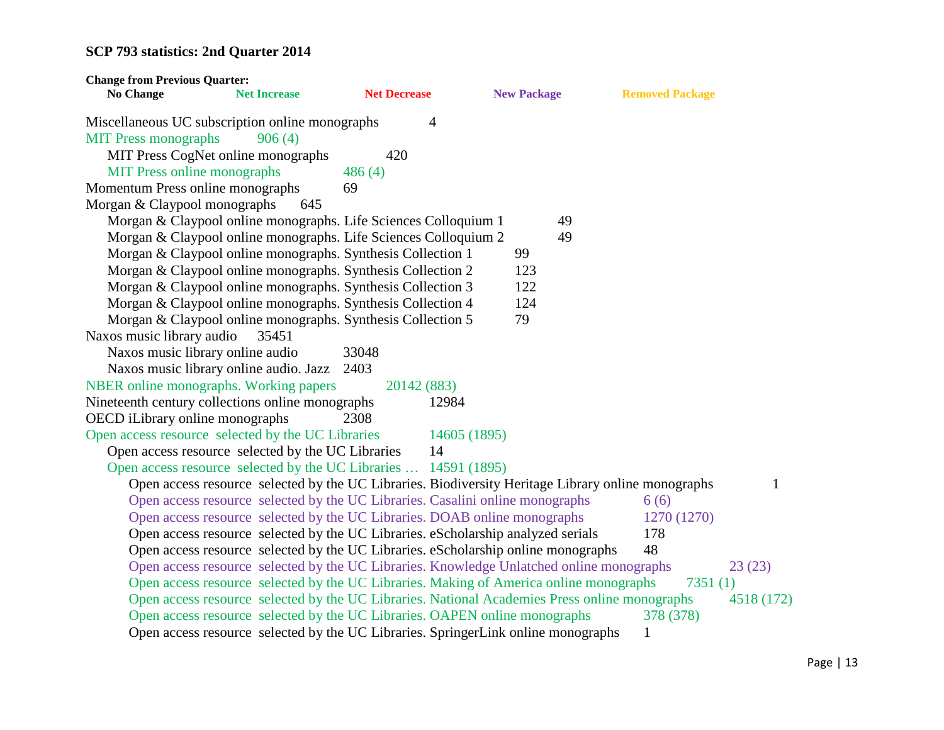| <b>Change from Previous Quarter:</b>                                                               |                     |                |                    |                        |            |
|----------------------------------------------------------------------------------------------------|---------------------|----------------|--------------------|------------------------|------------|
| <b>No Change</b><br><b>Net Increase</b>                                                            | <b>Net Decrease</b> |                | <b>New Package</b> | <b>Removed Package</b> |            |
| Miscellaneous UC subscription online monographs                                                    |                     | $\overline{4}$ |                    |                        |            |
| <b>MIT Press monographs</b><br>906(4)                                                              |                     |                |                    |                        |            |
| MIT Press CogNet online monographs                                                                 | 420                 |                |                    |                        |            |
| <b>MIT Press online monographs</b>                                                                 | 486(4)              |                |                    |                        |            |
| Momentum Press online monographs                                                                   | 69                  |                |                    |                        |            |
| Morgan & Claypool monographs<br>645                                                                |                     |                |                    |                        |            |
| Morgan & Claypool online monographs. Life Sciences Colloquium 1                                    |                     |                | 49                 |                        |            |
| Morgan & Claypool online monographs. Life Sciences Colloquium 2                                    |                     |                | 49                 |                        |            |
| Morgan & Claypool online monographs. Synthesis Collection 1                                        |                     |                | 99                 |                        |            |
| Morgan & Claypool online monographs. Synthesis Collection 2                                        |                     |                | 123                |                        |            |
| Morgan & Claypool online monographs. Synthesis Collection 3                                        |                     |                | 122                |                        |            |
| Morgan & Claypool online monographs. Synthesis Collection 4                                        |                     |                | 124                |                        |            |
| Morgan & Claypool online monographs. Synthesis Collection 5                                        |                     |                | 79                 |                        |            |
| Naxos music library audio<br>35451                                                                 |                     |                |                    |                        |            |
| Naxos music library online audio                                                                   | 33048               |                |                    |                        |            |
| Naxos music library online audio. Jazz                                                             | 2403                |                |                    |                        |            |
| NBER online monographs. Working papers                                                             | 20142 (883)         |                |                    |                        |            |
| Nineteenth century collections online monographs                                                   |                     | 12984          |                    |                        |            |
| OECD iLibrary online monographs                                                                    | 2308                |                |                    |                        |            |
| Open access resource selected by the UC Libraries                                                  |                     | 14605 (1895)   |                    |                        |            |
| Open access resource selected by the UC Libraries                                                  |                     | 14             |                    |                        |            |
| Open access resource selected by the UC Libraries  14591 (1895)                                    |                     |                |                    |                        |            |
| Open access resource selected by the UC Libraries. Biodiversity Heritage Library online monographs |                     |                |                    |                        | 1          |
| Open access resource selected by the UC Libraries. Casalini online monographs                      |                     |                |                    | 6(6)                   |            |
| Open access resource selected by the UC Libraries. DOAB online monographs                          |                     |                |                    | 1270 (1270)            |            |
| Open access resource selected by the UC Libraries. eScholarship analyzed serials                   |                     |                |                    | 178                    |            |
| Open access resource selected by the UC Libraries. eScholarship online monographs                  |                     |                |                    | 48                     |            |
| Open access resource selected by the UC Libraries. Knowledge Unlatched online monographs           |                     |                |                    |                        | 23(23)     |
| Open access resource selected by the UC Libraries. Making of America online monographs             |                     |                |                    | 7351(1)                |            |
| Open access resource selected by the UC Libraries. National Academies Press online monographs      |                     |                |                    |                        | 4518 (172) |
| Open access resource selected by the UC Libraries. OAPEN online monographs                         |                     |                |                    | 378 (378)              |            |
| Open access resource selected by the UC Libraries. SpringerLink online monographs                  |                     |                |                    | 1                      |            |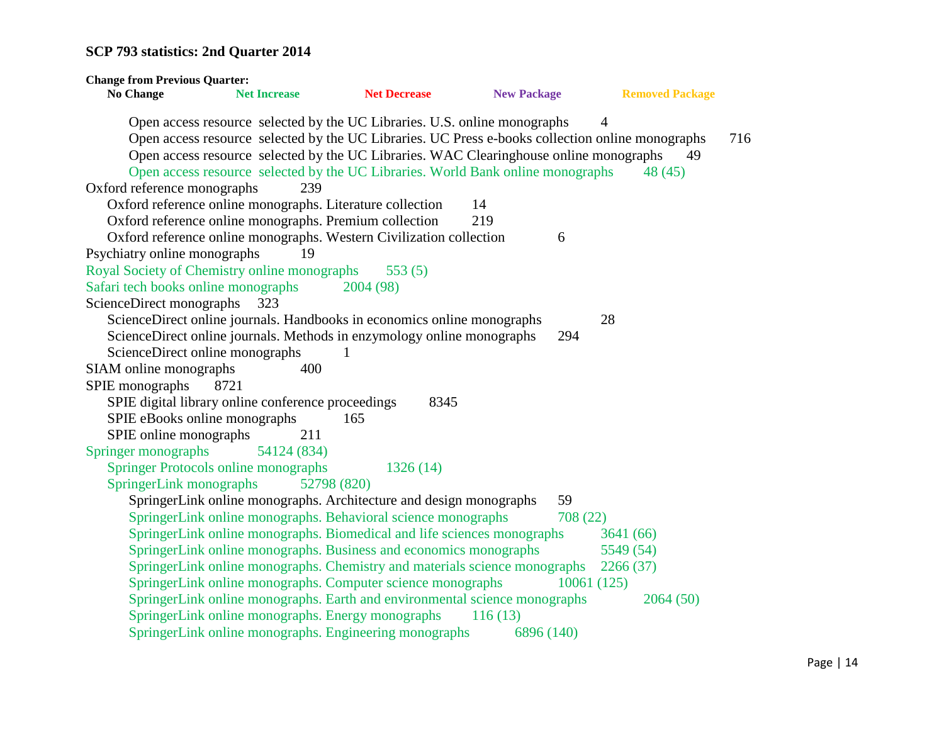**Change from Previous Quarter: No Change Net Increase Net Decrease New Package Removed Package** Open access resource selected by the UC Libraries. U.S. online monographs 4 Open access resource selected by the UC Libraries. UC Press e-books collection online monographs 716 Open access resource selected by the UC Libraries. WAC Clearinghouse online monographs 49 Open access resource selected by the UC Libraries. World Bank online monographs 48 (45) Oxford reference monographs 239 Oxford reference online monographs. Literature collection 14 Oxford reference online monographs. Premium collection 219 Oxford reference online monographs. Western Civilization collection 6 Psychiatry online monographs 19 Royal Society of Chemistry online monographs 553 (5) Safari tech books online monographs 2004 (98) ScienceDirect monographs 323 ScienceDirect online journals. Handbooks in economics online monographs 28 ScienceDirect online journals. Methods in enzymology online monographs 294 ScienceDirect online monographs 1 SIAM online monographs 400 SPIE monographs 8721 SPIE digital library online conference proceedings 8345 SPIE eBooks online monographs 165 SPIE online monographs 211 Springer monographs 54124 (834) Springer Protocols online monographs 1326 (14) SpringerLink monographs 52798 (820) SpringerLink online monographs. Architecture and design monographs 59 SpringerLink online monographs. Behavioral science monographs 708 (22) SpringerLink online monographs. Biomedical and life sciences monographs 3641 (66) SpringerLink online monographs. Business and economics monographs 5549 (54) SpringerLink online monographs. Chemistry and materials science monographs 2266 (37) SpringerLink online monographs. Computer science monographs 10061 (125) SpringerLink online monographs. Earth and environmental science monographs 2064 (50) SpringerLink online monographs. Energy monographs 116 (13) SpringerLink online monographs. Engineering monographs 6896 (140)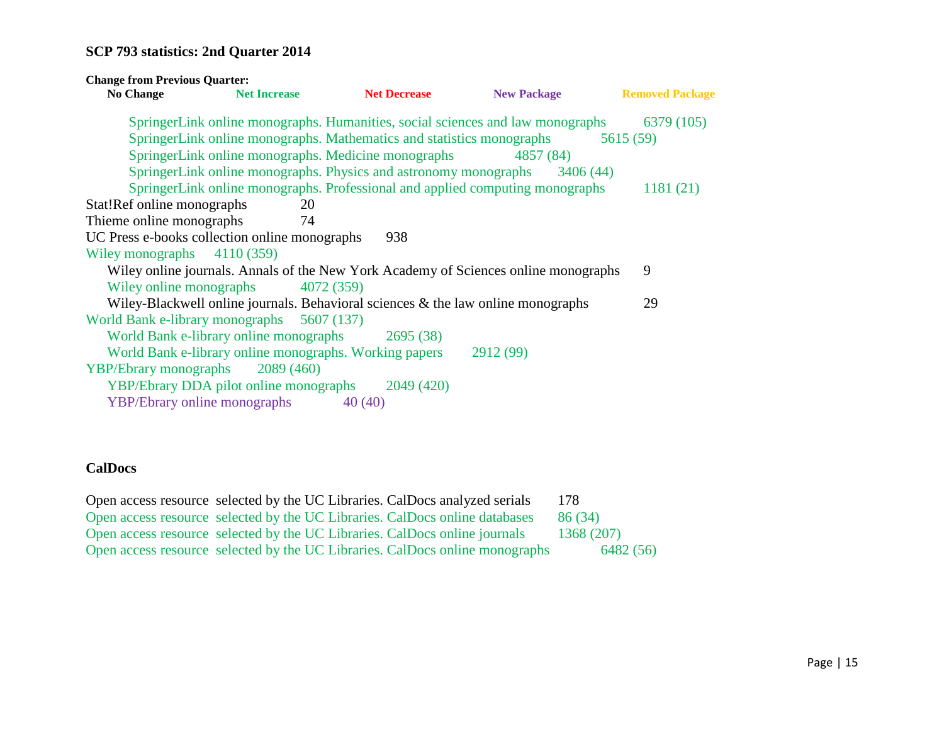| <b>Change from Previous Quarter:</b> |                                                                                     |                     |                                                                                     |                        |
|--------------------------------------|-------------------------------------------------------------------------------------|---------------------|-------------------------------------------------------------------------------------|------------------------|
| <b>No Change</b>                     | <b>Net Increase</b>                                                                 | <b>Net Decrease</b> | <b>New Package</b>                                                                  | <b>Removed Package</b> |
|                                      |                                                                                     |                     | SpringerLink online monographs. Humanities, social sciences and law monographs      | 6379 (105)             |
|                                      | SpringerLink online monographs. Mathematics and statistics monographs               |                     |                                                                                     | 5615 (59)              |
|                                      | SpringerLink online monographs. Medicine monographs                                 |                     | 4857 (84)                                                                           |                        |
|                                      | SpringerLink online monographs. Physics and astronomy monographs                    |                     | 3406(44)                                                                            |                        |
|                                      |                                                                                     |                     | SpringerLink online monographs. Professional and applied computing monographs       | 1181(21)               |
| Stat!Ref online monographs           | 20                                                                                  |                     |                                                                                     |                        |
| Thieme online monographs             | 74                                                                                  |                     |                                                                                     |                        |
|                                      | UC Press e-books collection online monographs                                       | 938                 |                                                                                     |                        |
| Wiley monographs 4110 (359)          |                                                                                     |                     |                                                                                     |                        |
|                                      |                                                                                     |                     | Wiley online journals. Annals of the New York Academy of Sciences online monographs | 9                      |
| Wiley online monographs              | 4072 (359)                                                                          |                     |                                                                                     |                        |
|                                      | Wiley-Blackwell online journals. Behavioral sciences $\&$ the law online monographs |                     |                                                                                     | 29                     |
|                                      | World Bank e-library monographs 5607 (137)                                          |                     |                                                                                     |                        |
|                                      | World Bank e-library online monographs                                              | 2695(38)            |                                                                                     |                        |
|                                      | World Bank e-library online monographs. Working papers                              |                     | 2912 (99)                                                                           |                        |
| <b>YBP/Ebrary monographs</b>         | 2089(460)                                                                           |                     |                                                                                     |                        |
|                                      | <b>YBP/Ebrary DDA pilot online monographs</b>                                       | 2049 (420)          |                                                                                     |                        |
|                                      | <b>YBP/Ebrary online monographs</b>                                                 | 40(40)              |                                                                                     |                        |
|                                      |                                                                                     |                     |                                                                                     |                        |

### **CalDocs**

|  | Open access resource selected by the UC Libraries. CalDocs analyzed serials  | 178        |
|--|------------------------------------------------------------------------------|------------|
|  | Open access resource selected by the UC Libraries. CalDocs online databases  | 86 (34)    |
|  | Open access resource selected by the UC Libraries. CalDocs online journals   | 1368 (207) |
|  | Open access resource selected by the UC Libraries. CalDocs online monographs | 6482 (56)  |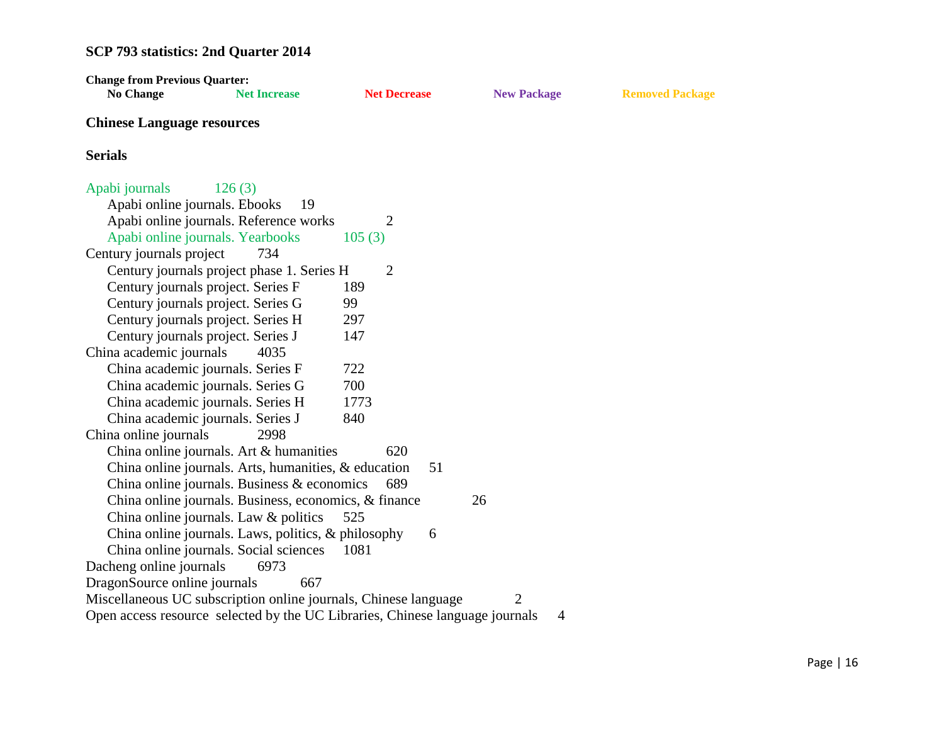| <b>Change from Previous Quarter:</b>                                         |                     |                     |    |                    |                |                        |
|------------------------------------------------------------------------------|---------------------|---------------------|----|--------------------|----------------|------------------------|
| <b>No Change</b>                                                             | <b>Net Increase</b> | <b>Net Decrease</b> |    | <b>New Package</b> |                | <b>Removed Package</b> |
| <b>Chinese Language resources</b>                                            |                     |                     |    |                    |                |                        |
| <b>Serials</b>                                                               |                     |                     |    |                    |                |                        |
| Apabi journals                                                               | 126(3)              |                     |    |                    |                |                        |
| Apabi online journals. Ebooks                                                | 19                  |                     |    |                    |                |                        |
| Apabi online journals. Reference works                                       |                     | 2                   |    |                    |                |                        |
| Apabi online journals. Yearbooks                                             |                     | 105(3)              |    |                    |                |                        |
| Century journals project                                                     | 734                 |                     |    |                    |                |                        |
| Century journals project phase 1. Series H                                   |                     | $\overline{2}$      |    |                    |                |                        |
| Century journals project. Series F                                           |                     | 189                 |    |                    |                |                        |
| Century journals project. Series G                                           |                     | 99                  |    |                    |                |                        |
| Century journals project. Series H                                           |                     | 297                 |    |                    |                |                        |
| Century journals project. Series J                                           |                     | 147                 |    |                    |                |                        |
| China academic journals                                                      | 4035                |                     |    |                    |                |                        |
| China academic journals. Series F                                            |                     | 722                 |    |                    |                |                        |
| China academic journals. Series G                                            |                     | 700                 |    |                    |                |                        |
| China academic journals. Series H                                            |                     | 1773                |    |                    |                |                        |
| China academic journals. Series J                                            |                     | 840                 |    |                    |                |                        |
| China online journals                                                        | 2998                |                     |    |                    |                |                        |
| China online journals. Art & humanities                                      |                     | 620                 |    |                    |                |                        |
| China online journals. Arts, humanities, & education                         |                     |                     | 51 |                    |                |                        |
| China online journals. Business $\&$ economics                               |                     | 689                 |    |                    |                |                        |
| China online journals. Business, economics, & finance                        |                     |                     |    | 26                 |                |                        |
| China online journals. Law & politics                                        |                     | 525                 |    |                    |                |                        |
| China online journals. Laws, politics, & philosophy                          |                     |                     | 6  |                    |                |                        |
| China online journals. Social sciences                                       |                     | 1081                |    |                    |                |                        |
| Dacheng online journals                                                      | 6973                |                     |    |                    |                |                        |
| DragonSource online journals                                                 | 667                 |                     |    |                    |                |                        |
| Miscellaneous UC subscription online journals, Chinese language              |                     |                     |    | 2                  |                |                        |
| Open access resource selected by the UC Libraries, Chinese language journals |                     |                     |    |                    | $\overline{4}$ |                        |
|                                                                              |                     |                     |    |                    |                |                        |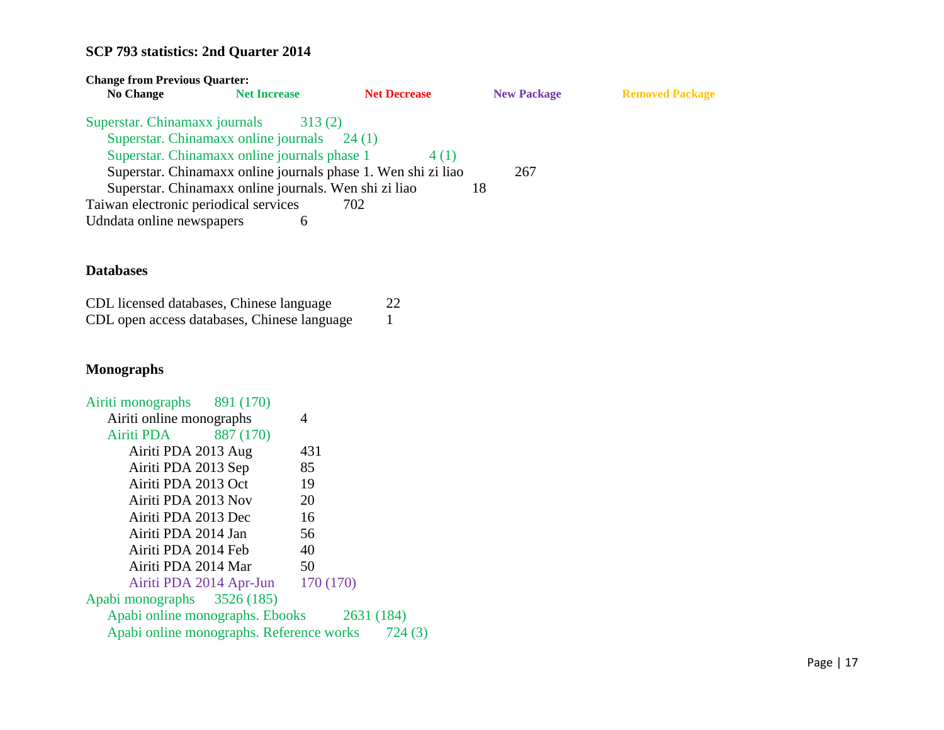| <b>Change from Previous Quarter:</b>  |                                                                                                |                                                                                 |                    |                        |
|---------------------------------------|------------------------------------------------------------------------------------------------|---------------------------------------------------------------------------------|--------------------|------------------------|
| <b>No Change</b>                      | <b>Net Increase</b>                                                                            | <b>Net Decrease</b>                                                             | <b>New Package</b> | <b>Removed Package</b> |
| Superstar. Chinamaxx journals         | 313(2)<br>Superstar. Chinamaxx online journals<br>Superstar. Chinamaxx online journals phase 1 | 24(1)<br>4 (1)<br>Superstar. Chinamaxx online journals phase 1. Wen shi zi liao | 267                |                        |
|                                       | Superstar. Chinamaxx online journals. Wen shi zi liao                                          |                                                                                 | 18                 |                        |
| Taiwan electronic periodical services |                                                                                                | 702                                                                             |                    |                        |
| Udndata online newspapers             | 6                                                                                              |                                                                                 |                    |                        |

### **Databases**

| CDL licensed databases, Chinese language    | 22 |
|---------------------------------------------|----|
| CDL open access databases, Chinese language |    |

### **Monographs**

| Airiti monographs 891 (170)                      |                                   |     |  |
|--------------------------------------------------|-----------------------------------|-----|--|
| Airiti online monographs                         |                                   | 4   |  |
| Airiti PDA 887 (170)                             |                                   |     |  |
| Airiti PDA 2013 Aug                              |                                   | 431 |  |
| Airiti PDA 2013 Sep                              |                                   | 85  |  |
| Airiti PDA 2013 Oct                              |                                   | 19  |  |
| Airiti PDA 2013 Nov                              |                                   | 20  |  |
| Airiti PDA 2013 Dec                              |                                   | 16  |  |
| Airiti PDA 2014 Jan                              |                                   | 56  |  |
| Airiti PDA 2014 Feb                              |                                   | 40  |  |
| Airiti PDA 2014 Mar                              |                                   | 50  |  |
|                                                  | Airiti PDA 2014 Apr-Jun 170 (170) |     |  |
| Apabi monographs 3526 (185)                      |                                   |     |  |
| Apabi online monographs. Ebooks 2631 (184)       |                                   |     |  |
| Apabi online monographs. Reference works 724 (3) |                                   |     |  |
|                                                  |                                   |     |  |